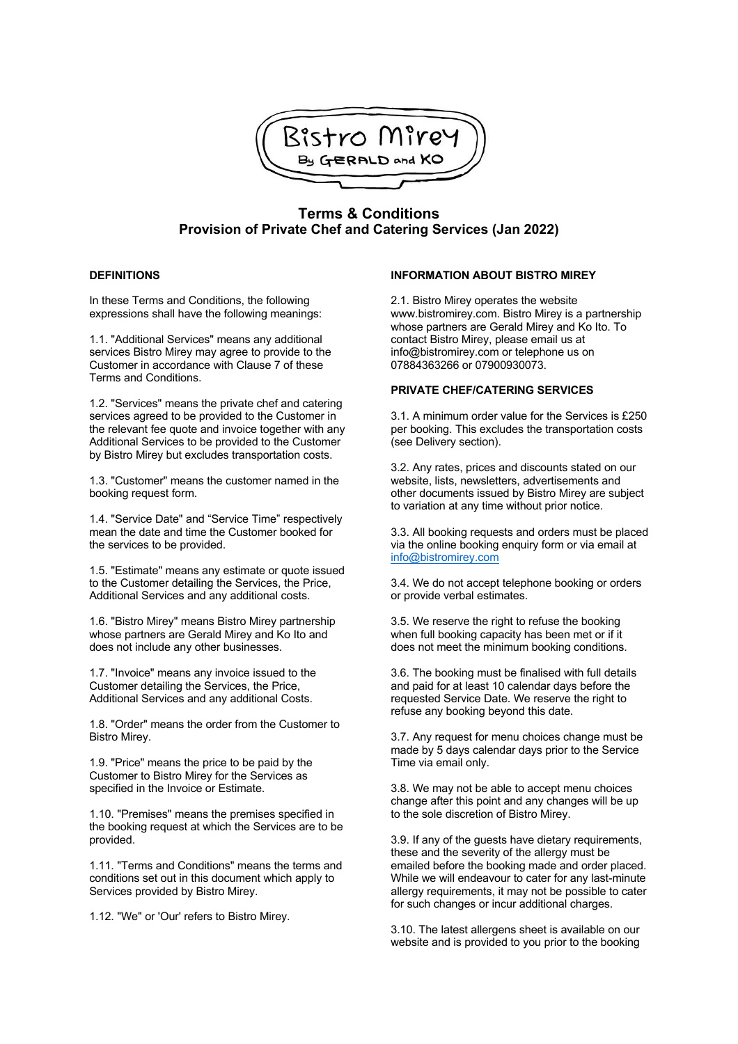

# **Terms & Conditions Provision of Private Chef and Catering Services (Jan 2022)**

## **DEFINITIONS**

In these Terms and Conditions, the following expressions shall have the following meanings:

1.1. "Additional Services" means any additional services Bistro Mirey may agree to provide to the Customer in accordance with Clause 7 of these Terms and Conditions.

1.2. "Services" means the private chef and catering services agreed to be provided to the Customer in the relevant fee quote and invoice together with any Additional Services to be provided to the Customer by Bistro Mirey but excludes transportation costs.

1.3. "Customer" means the customer named in the booking request form.

1.4. "Service Date" and "Service Time" respectively mean the date and time the Customer booked for the services to be provided.

1.5. "Estimate" means any estimate or quote issued to the Customer detailing the Services, the Price, Additional Services and any additional costs.

1.6. "Bistro Mirey" means Bistro Mirey partnership whose partners are Gerald Mirey and Ko Ito and does not include any other businesses.

1.7. "Invoice" means any invoice issued to the Customer detailing the Services, the Price, Additional Services and any additional Costs.

1.8. "Order" means the order from the Customer to Bistro Mirey.

1.9. "Price" means the price to be paid by the Customer to Bistro Mirey for the Services as specified in the Invoice or Estimate.

1.10. "Premises" means the premises specified in the booking request at which the Services are to be provided.

1.11. "Terms and Conditions" means the terms and conditions set out in this document which apply to Services provided by Bistro Mirey.

1.12. "We" or 'Our' refers to Bistro Mirey.

#### **INFORMATION ABOUT BISTRO MIREY**

2.1. Bistro Mirey operates the website www.bistromirey.com. Bistro Mirey is a partnership whose partners are Gerald Mirey and Ko Ito. To contact Bistro Mirey, please email us at info@bistromirey.com or telephone us on 07884363266 or 07900930073.

## **PRIVATE CHEF/CATERING SERVICES**

3.1. A minimum order value for the Services is £250 per booking. This excludes the transportation costs (see Delivery section).

3.2. Any rates, prices and discounts stated on our website, lists, newsletters, advertisements and other documents issued by Bistro Mirey are subject to variation at any time without prior notice.

3.3. All booking requests and orders must be placed via the online booking enquiry form or via email at info@bistromirey.com

3.4. We do not accept telephone booking or orders or provide verbal estimates.

3.5. We reserve the right to refuse the booking when full booking capacity has been met or if it does not meet the minimum booking conditions.

3.6. The booking must be finalised with full details and paid for at least 10 calendar days before the requested Service Date. We reserve the right to refuse any booking beyond this date.

3.7. Any request for menu choices change must be made by 5 days calendar days prior to the Service Time via email only.

3.8. We may not be able to accept menu choices change after this point and any changes will be up to the sole discretion of Bistro Mirey.

3.9. If any of the guests have dietary requirements, these and the severity of the allergy must be emailed before the booking made and order placed. While we will endeavour to cater for any last-minute allergy requirements, it may not be possible to cater for such changes or incur additional charges.

3.10. The latest allergens sheet is available on our website and is provided to you prior to the booking